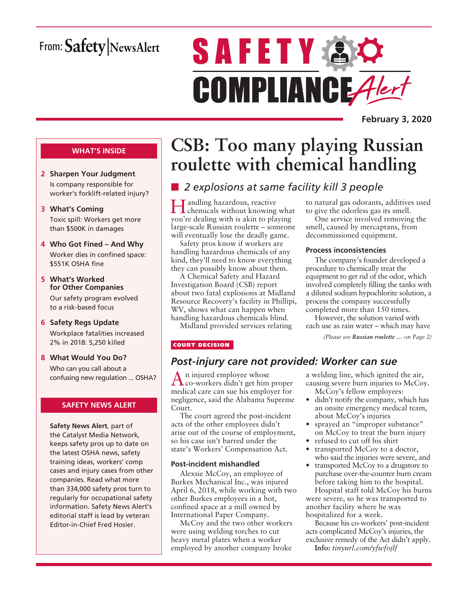# From: Safety NewsAlert

# **SAFETY AC** COMPLIANCE Alert

**February 3, 2020**

#### **WHAT'S INSIDE**

- **2 Sharpen Your Judgment** Is company responsible for worker's forklift-related injury?
- **3 What's Coming** Toxic spill: Workers get more than \$500K in damages
- **4 Who Got Fined And Why** Worker dies in confined space: \$551K OSHA fine
- **5 What's Worked for Other Companies** Our safety program evolved to a risk-based focus
- **6 Safety Regs Update** Workplace fatalities increased 2% in 2018: 5,250 killed
- **8 What Would You Do?** Who can you call about a confusing new regulation ... OSHA?

#### **SAFETY NEWS ALERT**

**Safety News Alert**, part of the Catalyst Media Network, keeps safety pros up to date on the latest OSHA news, safety training ideas, workers' comp cases and injury cases from other companies. Read what more than 334,000 safety pros turn to regularly for occupational safety information. Safety News Alert's editorial staff is lead by veteran Editor-in-Chief Fred Hosier.

# **CSB: Too many playing Russian roulette with chemical handling**

## ■ 2 explosions at same facility kill 3 people

Handling hazardous, reactive chemicals without knowing what you're dealing with is akin to playing large-scale Russian roulette – someone will eventually lose the deadly game.

Safety pros know if workers are handling hazardous chemicals of any kind, they'll need to know everything they can possibly know about them.

A Chemical Safety and Hazard Investigation Board (CSB) report about two fatal explosions at Midland Resource Recovery's facility in Phillipi, WV, shows what can happen when handling hazardous chemicals blind.

Midland provided services relating

COURT DECISION

## *Post-injury care not provided: Worker can sue*

An injured employee whose co-workers didn't get him proper medical care can sue his employer for negligence, said the Alabama Supreme Court.

The court agreed the post-incident acts of the other employees didn't arise out of the course of employment, so his case isn't barred under the state's Workers' Compensation Act.

#### **Post-incident mishandled**

Alexsie McCoy, an employee of Burkes Mechanical Inc., was injured April 6, 2018, while working with two other Burkes employees in a hot, confined space at a mill owned by International Paper Company.

McCoy and the two other workers were using welding torches to cut heavy metal plates when a worker employed by another company broke

a welding line, which ignited the air,

*(Please see Russian roulette … on Page 2)*

to natural gas odorants, additives used to give the odorless gas its smell. One service involved removing the smell, caused by mercaptans, from decommissioned equipment.

The company's founder developed a

**Process inconsistencies**

procedure to chemically treat the equipment to get rid of the odor, which involved completely filling the tanks with a diluted sodium hypochlorite solution, a process the company successfully completed more than 150 times. However, the solution varied with each use as rain water – which may have

- causing severe burn injuries to McCoy. McCoy's fellow employees:
- didn't notify the company, which has an onsite emergency medical team, about McCoy's injuries
- sprayed an "improper substance" on McCoy to treat the burn injury
- refused to cut off his shirt
- transported McCoy to a doctor, who said the injuries were severe, and
- transported McCoy to a drugstore to purchase over-the-counter burn cream before taking him to the hospital. Hospital staff told McCoy his burns were severe, so he was transported to another facility where he was hospitalized for a week.

Because his co-workers' post-incident acts complicated McCoy's injuries, the exclusive remedy of the Act didn't apply.

**Info:** *tinyurl.com/yfwfojlf*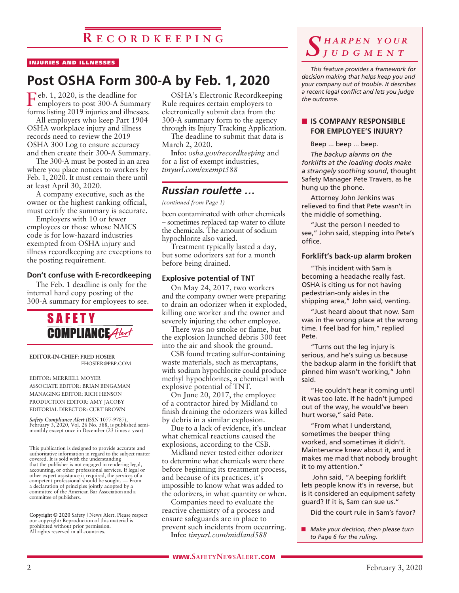## **R e c o r d k e e p i n g**

#### INJURIES AND ILLNESSES

## **Post OSHA Form 300-A by Feb. 1, 2020**

Feb. 1, 2020, is the deadline for employers to post 300-A Summary forms listing 2019 injuries and illnesses.

All employers who keep Part 1904 OSHA workplace injury and illness records need to review the 2019 OSHA 300 Log to ensure accuracy and then create their 300-A Summary.

The 300-A must be posted in an area where you place notices to workers by Feb. 1, 2020. It must remain there until at least April 30, 2020.

A company executive, such as the owner or the highest ranking official, must certify the summary is accurate.

Employers with 10 or fewer employees or those whose NAICS code is for low-hazard industries exempted from OSHA injury and illness recordkeeping are exceptions to the posting requirement.

#### **Don't confuse with E-recordkeeping**

The Feb. 1 deadline is only for the internal hard copy posting of the 300-A summary for employees to see.



PRODUCTION EDITOR: AMY JACOBY EDITORIAL DIRECTOR: CURT BROWN

*Safety Compliance Alert* (ISSN 1077-9787), February 3, 2020, Vol. 26 No. 588, is published semimonthly except once in December (23 times a year)

This publication is designed to provide accurate and authoritative information in regard to the subject matter covered. It is sold with the understanding that the publisher is not engaged in rendering legal, accounting, or other professional services. If legal or other expert assistance is required, the services of a competent professional should be sought. — From a declaration of principles jointly adopted by a committee of the American Bar Association and a committee of publishers.

**Copyright © 2020** Safety | News Alert. Please respect our copyright: Reproduction of this material is prohibited without prior permission. All rights reserved in all countries.

OSHA's Electronic Recordkeeping Rule requires certain employers to electronically submit data from the 300-A summary form to the agency through its Injury Tracking Application.

The deadline to submit that data is March 2, 2020.

**Info:** *osha.gov/recordkeeping* and for a list of exempt industries, *tinyurl.com/exempt588*

#### *Russian roulette …*

*(continued from Page 1)*

been contaminated with other chemicals – sometimes replaced tap water to dilute the chemicals. The amount of sodium hypochlorite also varied.

Treatment typically lasted a day, but some odorizers sat for a month before being drained.

#### **Explosive potential of TNT**

On May 24, 2017, two workers and the company owner were preparing to drain an odorizer when it exploded, killing one worker and the owner and severely injuring the other employee.

There was no smoke or flame, but the explosion launched debris 300 feet into the air and shook the ground.

CSB found treating sulfur-containing waste materials, such as mercaptans, with sodium hypochlorite could produce methyl hypochlorites, a chemical with explosive potential of TNT.

On June 20, 2017, the employee of a contractor hired by Midland to finish draining the odorizers was killed by debris in a similar explosion.

Due to a lack of evidence, it's unclear what chemical reactions caused the explosions, according to the CSB.

Midland never tested either odorizer to determine what chemicals were there before beginning its treatment process, and because of its practices, it's impossible to know what was added to the odorizers, in what quantity or when.

Companies need to evaluate the reactive chemistry of a process and ensure safeguards are in place to prevent such incidents from occurring.

**Info:** *tinyurl.com/midland588*

### *S h a r p e n y o u r j u d g m e n t*

*This feature provides a framework for decision making that helps keep you and your company out of trouble. It describes a recent legal conflict and lets you judge the outcome.*

#### **IS COMPANY RESPONSIBLE FOR EMPLOYEE'S INJURY?**

Beep ... beep ... beep.

*The backup alarms on the forklifts at the loading docks make a strangely soothing sound*, thought Safety Manager Pete Travers, as he hung up the phone.

Attorney John Jenkins was relieved to find that Pete wasn't in the middle of something.

"Just the person I needed to see," John said, stepping into Pete's office.

#### **Forklift's back-up alarm broken**

"This incident with Sam is becoming a headache really fast. OSHA is citing us for not having pedestrian-only aisles in the shipping area," John said, venting.

"Just heard about that now. Sam was in the wrong place at the wrong time. I feel bad for him," replied Pete.

"Turns out the leg injury is serious, and he's suing us because the backup alarm in the forklift that pinned him wasn't working," John said.

"He couldn't hear it coming until it was too late. If he hadn't jumped out of the way, he would've been hurt worse," said Pete.

"From what I understand, sometimes the beeper thing worked, and sometimes it didn't. Maintenance knew about it, and it makes me mad that nobody brought it to my attention."

 John said, "A beeping forklift lets people know it's in reverse, but is it considered an equipment safety guard? If it is, Sam can sue us."

Did the court rule in Sam's favor?

■ *Make your decision, then please turn to Page 6 for the ruling.*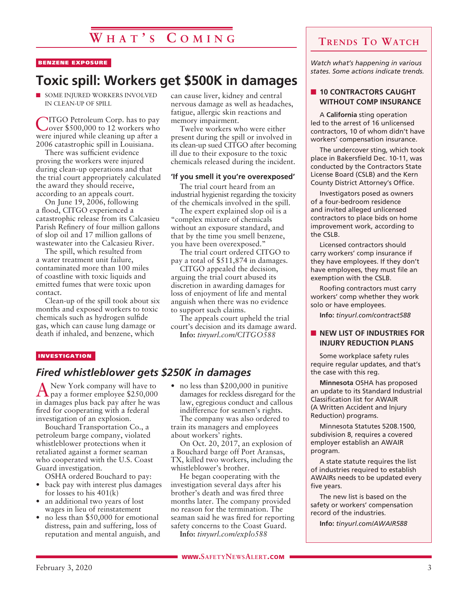# **W h a t ' s C o m i n g**

#### BENZENE EXPOSURE

## **Toxic spill: Workers get \$500K in damages**

 $\blacksquare$  SOME INJURED WORKERS INVOLVED IN CLEAN-UP OF SPILL

CITGO Petroleum Corp. has to pay over \$500,000 to 12 workers who were injured while cleaning up after a 2006 catastrophic spill in Louisiana.

There was sufficient evidence proving the workers were injured during clean-up operations and that the trial court appropriately calculated the award they should receive, according to an appeals court.

On June 19,  $2006$ , following a flood, CITGO experienced a catastrophic release from its Calcasieu Parish Refinery of four million gallons of slop oil and 17 million gallons of wastewater into the Calcasieu River.

The spill, which resulted from a water treatment unit failure, contaminated more than 100 miles of coastline with toxic liquids and emitted fumes that were toxic upon contact.

Clean-up of the spill took about six months and exposed workers to toxic chemicals such as hydrogen sulfide gas, which can cause lung damage or death if inhaled, and benzene, which

can cause liver, kidney and central nervous damage as well as headaches, fatigue, allergic skin reactions and memory impairment.

Twelve workers who were either present during the spill or involved in its clean-up sued CITGO after becoming ill due to their exposure to the toxic chemicals released during the incident.

#### **'If you smell it you're overexposed'**

The trial court heard from an industrial hygienist regarding the toxicity of the chemicals involved in the spill.

The expert explained slop oil is a "complex mixture of chemicals without an exposure standard, and that by the time you smell benzene, you have been overexposed."

The trial court ordered CITGO to pay a total of \$511,874 in damages.

CITGO appealed the decision, arguing the trial court abused its discretion in awarding damages for loss of enjoyment of life and mental anguish when there was no evidence to support such claims.

The appeals court upheld the trial court's decision and its damage award. **Info:** *tinyurl.com/CITGO588*

#### INVESTIGATION

#### *Fired whistleblower gets \$250K in damages*

ANew York company will have to pay a former employee \$250,000 in damages plus back pay after he was fired for cooperating with a federal investigation of an explosion.

Bouchard Transportation Co., a petroleum barge company, violated whistleblower protections when it retaliated against a former seaman who cooperated with the U.S. Coast Guard investigation.

OSHA ordered Bouchard to pay:

- back pay with interest plus damages for losses to his 401(k)
- an additional two years of lost wages in lieu of reinstatement
- no less than \$50,000 for emotional distress, pain and suffering, loss of reputation and mental anguish, and

• no less than \$200,000 in punitive damages for reckless disregard for the law, egregious conduct and callous indifference for seamen's rights. The company was also ordered to train its managers and employees about workers' rights.

On Oct. 20, 2017, an explosion of a Bouchard barge off Port Aransas, TX, killed two workers, including the whistleblower's brother.

He began cooperating with the investigation several days after his brother's death and was fired three months later. The company provided no reason for the termination. The seaman said he was fired for reporting safety concerns to the Coast Guard.

**Info:** *tinyurl.com/explo588*

## **Trends To Watch**

*Watch what's happening in various states. Some actions indicate trends.*

#### **n** 10 CONTRACTORS CAUGHT **WITHOUT COMP INSURANCE**

A **California** sting operation led to the arrest of 16 unlicensed contractors, 10 of whom didn't have workers' compensation insurance.

The undercover sting, which took place in Bakersfield Dec. 10-11, was conducted by the Contractors State License Board (CSLB) and the Kern County District Attorney's Office.

Investigators posed as owners of a four-bedroom residence and invited alleged unlicensed contractors to place bids on home improvement work, according to the CSLB.

Licensed contractors should carry workers' comp insurance if they have employees. If they don't have employees, they must file an exemption with the CSLB.

Roofing contractors must carry workers' comp whether they work solo or have employees.

**Info:** *tinyurl.com/contract588*

#### **NEW LIST OF INDUSTRIES FOR INJURY REDUCTION PLANS**

Some workplace safety rules require regular updates, and that's the case with this reg.

**Minnesota** OSHA has proposed an update to its Standard Industrial Classification list for AWAIR (A Written Accident and Injury Reduction) programs.

Minnesota Statutes 5208.1500, subdivision 8, requires a covered employer establish an AWAIR program.

A state statute requires the list of industries required to establish AWAIRs needs to be updated every five years.

The new list is based on the safety or workers' compensation record of the industries.

**Info:** *tinyurl.com/AWAIR588*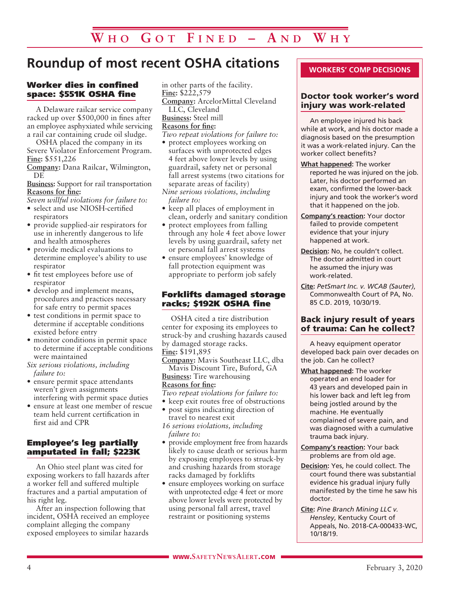# **Roundup of most recent OSHA citations**

#### Worker dies in confined space: \$551K OSHA fine

A Delaware railcar service company racked up over \$500,000 in fines after an employee asphyxiated while servicing a rail car containing crude oil sludge.

OSHA placed the company in its Severe Violator Enforcement Program. **Fine:** \$551,226

**Company:** Dana Railcar, Wilmington, DE

**Business:** Support for rail transportation **Reasons for fine:**

*Seven willful violations for failure to:* • select and use NIOSH-certified

- respirators
- provide supplied-air respirators for use in inherently dangerous to life and health atmospheres
- provide medical evaluations to determine employee's ability to use respirator
- fit test employees before use of respirator
- develop and implement means, procedures and practices necessary for safe entry to permit spaces
- test conditions in permit space to determine if acceptable conditions existed before entry
- monitor conditions in permit space to determine if acceptable conditions were maintained
- *Six serious violations, including failure to:*
- ensure permit space attendants weren't given assignments interfering with permit space duties
- ensure at least one member of rescue team held current certification in first aid and CPR

#### Employee's leg partially amputated in fall; \$223K

An Ohio steel plant was cited for exposing workers to fall hazards after a worker fell and suffered multiple fractures and a partial amputation of his right leg.

After an inspection following that incident, OSHA received an employee complaint alleging the company exposed employees to similar hazards

in other parts of the facility. **Fine:** \$222,579

**Company:** ArcelorMittal Cleveland LLC, Cleveland **Business:** Steel mill

## **Reasons for fine:**

- *Two repeat violations for failure to:*
- protect employees working on surfaces with unprotected edges 4 feet above lower levels by using guardrail, safety net or personal fall arrest systems (two citations for separate areas of facility)
- *Nine serious violations, including failure to:*
- keep all places of employment in clean, orderly and sanitary condition
- protect employees from falling through any hole 4 feet above lower levels by using guardrail, safety net or personal fall arrest systems
- ensure employees' knowledge of fall protection equipment was appropriate to perform job safely

#### Forklifts damaged storage racks; \$192K OSHA fine

OSHA cited a tire distribution center for exposing its employees to struck-by and crushing hazards caused by damaged storage racks. **Fine:** \$191,895

**Company:** Mavis Southeast LLC, dba Mavis Discount Tire, Buford, GA

**Business:** Tire warehousing **Reasons for fine:**

*Two repeat violations for failure to:* • keep exit routes free of obstructions

- post signs indicating direction of travel to nearest exit
- *16 serious violations, including failure to:*
- provide employment free from hazards likely to cause death or serious harm by exposing employees to struck-by and crushing hazards from storage racks damaged by forklifts
- ensure employees working on surface with unprotected edge 4 feet or more above lower levels were protected by using personal fall arrest, travel restraint or positioning systems

#### **WORKERS' COMP DECISIONS**

#### Doctor took worker's word injury was work-related

An employee injured his back while at work, and his doctor made a diagnosis based on the presumption it was a work-related injury. Can the worker collect benefits?

- **What happened:** The worker reported he was injured on the job. Later, his doctor performed an exam, confirmed the lower-back injury and took the worker's word that it happened on the job.
- **Company's reaction:** Your doctor failed to provide competent evidence that your injury happened at work.
- **Decision:** No, he couldn't collect. The doctor admitted in court he assumed the injury was work-related.
- **Cite:** *PetSmart Inc. v. WCAB (Sauter)*, Commonwealth Court of PA, No. 85 C.D. 2019, 10/30/19.

#### Back injury result of years of trauma: Can he collect?

A heavy equipment operator developed back pain over decades on the job. Can he collect?

- **What happened:** The worker operated an end loader for 43 years and developed pain in his lower back and left leg from being jostled around by the machine. He eventually complained of severe pain, and was diagnosed with a cumulative trauma back injury.
- **Company's reaction:** Your back problems are from old age.
- **Decision:** Yes, he could collect. The court found there was substantial evidence his gradual injury fully manifested by the time he saw his doctor.
- **Cite:** *Pine Branch Mining LLC v. Hensley*, Kentucky Court of Appeals, No. 2018-CA-000433-WC, 10/18/19.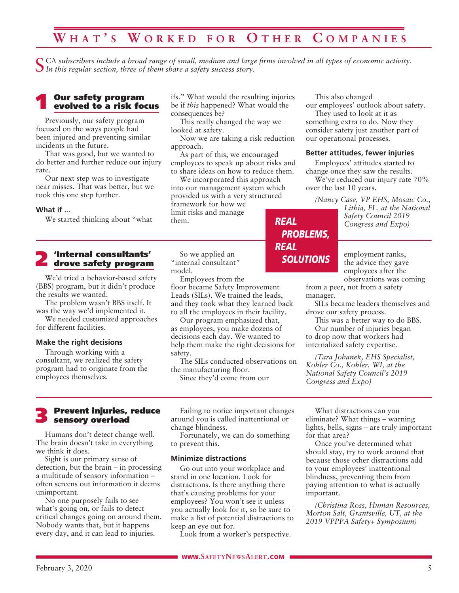## **W h a t ' s W o r k e d f o r O t h e r C o m p a n i e s**

CA subscribers include a broad range of small, medium and large firms involved in all types of economic activity. *In this regular section, three of them share a safety success story.*

#### **Our safety program** evolved to a risk focus

Previously, our safety program focused on the ways people had been injured and preventing similar incidents in the future.

That was good, but we wanted to do better and further reduce our injury rate.

Our next step was to investigate near misses. That was better, but we took this one step further.

#### **What if ...**

We started thinking about "what

# 2 'Internal consultants' drove safety program

We'd tried a behavior-based safety (BBS) program, but it didn't produce the results we wanted.

The problem wasn't BBS itself. It was the way we'd implemented it.

We needed customized approaches for different facilities.

#### **Make the right decisions**

Through working with a consultant, we realized the safety program had to originate from the employees themselves.

ifs." What would the resulting injuries be if *this* happened? What would the consequences be?

This really changed the way we looked at safety.

Now we are taking a risk reduction approach.

As part of this, we encouraged employees to speak up about risks and to share ideas on how to reduce them.

We incorporated this approach into our management system which provided us with a very structured framework for how we limit risks and manage them. *REAL*

So we applied an "internal consultant" model.

Employees from the floor became Safety Improvement Leads (SILs). We trained the leads, and they took what they learned back to all the employees in their facility.

Our program emphasized that, as employees, you make dozens of decisions each day. We wanted to help them make the right decisions for safety.

The SILs conducted observations on the manufacturing floor.

Since they'd come from our

This also changed

*PROBLEMS,*

*SOLUTIONS*

*REAL*

our employees' outlook about safety. They used to look at it as

something extra to do. Now they consider safety just another part of our operational processes.

#### **Better attitudes, fewer injuries**

Employees' attitudes started to change once they saw the results. We've reduced our injury rate 70% over the last 10 years.

*(Nancy Case, VP EHS, Mosaic Co.,* 

*Lithia, FL, at the National Safety Council 2019 Congress and Expo)*

employment ranks, the advice they gave employees after the observations was coming

from a peer, not from a safety manager.

SILs became leaders themselves and drove our safety process.

This was a better way to do BBS. Our number of injuries began

to drop now that workers had internalized safety expertise.

*(Tara Johanek, EHS Specialist, Kohler Co., Kohler, WI, at the National Safety Council's 2019 Congress and Expo)*

#### 3 Prevent injuries, reduce sensory overload

Humans don't detect change well. The brain doesn't take in everything we think it does.

Sight is our primary sense of detection, but the brain – in processing a multitude of sensory information – often screens out information it deems unimportant.

No one purposely fails to see what's going on, or fails to detect critical changes going on around them. Nobody wants that, but it happens every day, and it can lead to injuries.

Failing to notice important changes around you is called inattentional or change blindness.

Fortunately, we can do something to prevent this.

#### **Minimize distractions**

Go out into your workplace and stand in one location. Look for distractions. Is there anything there that's causing problems for your employees? You won't see it unless you actually look for it, so be sure to make a list of potential distractions to keep an eye out for.

Look from a worker's perspective.

What distractions can you eliminate? What things – warning lights, bells, signs – are truly important for that area?

Once you've determined what should stay, try to work around that because those other distractions add to your employees' inattentional blindness, preventing them from paying attention to what is actually important.

*(Christina Ross, Human Resources, Morton Salt, Grantsville, UT, at the 2019 VPPPA Safety+ Symposium)*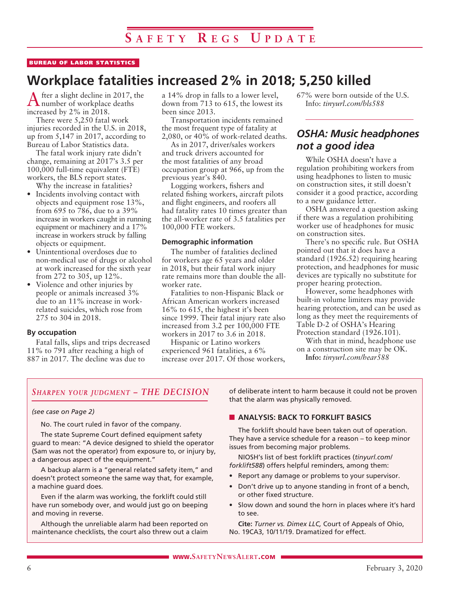#### BUREAU OF LABOR STATISTICS

# **Workplace fatalities increased 2% in 2018; 5,250 killed**

After a slight decline in 2017, the number of workplace deaths increased by 2% in 2018.

There were 5,250 fatal work injuries recorded in the U.S. in 2018, up from 5,147 in 2017, according to Bureau of Labor Statistics data.

The fatal work injury rate didn't change, remaining at 2017's 3.5 per 100,000 full-time equivalent (FTE) workers, the BLS report states.

- Why the increase in fatalities? • Incidents involving contact with objects and equipment rose 13%, from 695 to 786, due to a 39% increase in workers caught in running equipment or machinery and a 17% increase in workers struck by falling objects or equipment.
- Unintentional overdoses due to non-medical use of drugs or alcohol at work increased for the sixth year from 272 to 305, up 12%.
- Violence and other injuries by people or animals increased 3% due to an 11% increase in workrelated suicides, which rose from 275 to 304 in 2018.

#### **By occupation**

Fatal falls, slips and trips decreased 11% to 791 after reaching a high of 887 in 2017. The decline was due to

a 14% drop in falls to a lower level, down from 713 to 615, the lowest its been since 2013.

Transportation incidents remained the most frequent type of fatality at 2,080, or 40% of work-related deaths.

As in 2017, driver/sales workers and truck drivers accounted for the most fatalities of any broad occupation group at 966, up from the previous year's 840.

Logging workers, fishers and related fishing workers, aircraft pilots and flight engineers, and roofers all had fatality rates 10 times greater than the all-worker rate of 3.5 fatalities per 100,000 FTE workers.

#### **Demographic information**

The number of fatalities declined for workers age 65 years and older in 2018, but their fatal work injury rate remains more than double the allworker rate.

Fatalities to non-Hispanic Black or African American workers increased 16% to 615, the highest it's been since 1999. Their fatal injury rate also increased from 3.2 per 100,000 FTE workers in 2017 to 3.6 in 2018.

Hispanic or Latino workers experienced 961 fatalities, a 6% increase over 2017. Of those workers, 67% were born outside of the U.S. Info: *tinyurl.com/bls588*

## *OSHA: Music headphones not a good idea*

While OSHA doesn't have a regulation prohibiting workers from using headphones to listen to music on construction sites, it still doesn't consider it a good practice, according to a new guidance letter.

OSHA answered a question asking if there was a regulation prohibiting worker use of headphones for music on construction sites.

There's no specific rule. But OSHA pointed out that it does have a standard (1926.52) requiring hearing protection, and headphones for music devices are typically no substitute for proper hearing protection.

However, some headphones with built-in volume limiters may provide hearing protection, and can be used as long as they meet the requirements of Table D-2 of OSHA's Hearing Protection standard (1926.101).

With that in mind, headphone use on a construction site may be OK.

**Info:** *tinyurl.com/hear588*

#### *Sharpen your judgment – THE DECISION*

#### *(see case on Page 2)*

No. The court ruled in favor of the company.

The state Supreme Court defined equipment safety guard to mean: "A device designed to shield the operator (Sam was not the operator) from exposure to, or injury by, a dangerous aspect of the equipment."

A backup alarm is a "general related safety item," and doesn't protect someone the same way that, for example, a machine guard does.

Even if the alarm was working, the forklift could still have run somebody over, and would just go on beeping and moving in reverse.

Although the unreliable alarm had been reported on maintenance checklists, the court also threw out a claim of deliberate intent to harm because it could not be proven that the alarm was physically removed.

#### **N ANALYSIS: BACK TO FORKLIFT BASICS**

The forklift should have been taken out of operation. They have a service schedule for a reason – to keep minor issues from becoming major problems.

NIOSH's list of best forklift practices (*tinyurl.com/ forklift588*) offers helpful reminders, among them:

- Report any damage or problems to your supervisor.
- Don't drive up to anyone standing in front of a bench, or other fixed structure.
- Slow down and sound the horn in places where it's hard to see.

**Cite:** *Turner vs. Dimex LLC,* Court of Appeals of Ohio, No. 19CA3, 10/11/19. Dramatized for effect.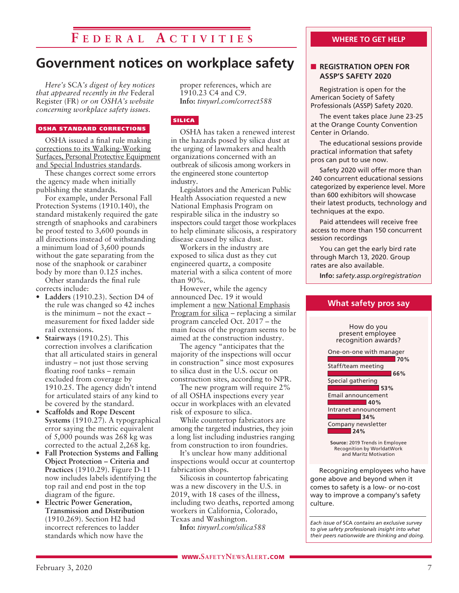## **F e d e r a l A c t i v i t i e s**

## **Government notices on workplace safety**

*Here's* SCA*'s digest of key notices that appeared recently in the* Federal Register (FR) *or on OSHA's website concerning workplace safety issues.* 

#### OSHA STANDARD CORRECTIONS

OSHA issued a final rule making corrections to its Walking-Working Surfaces, Personal Protective Equipment and Special Industries standards.

These changes correct some errors the agency made when initially publishing the standards.

For example, under Personal Fall Protection Systems (1910.140), the standard mistakenly required the gate strength of snaphooks and carabiners be proof tested to 3,600 pounds in all directions instead of withstanding a minimum load of 3,600 pounds without the gate separating from the nose of the snaphook or carabiner body by more than 0.125 inches.

Other standards the final rule corrects include:

- **Ladders** (1910.23). Section D4 of the rule was changed so 42 inches is the minimum – not the exact – measurement for fixed ladder side rail extensions.
- **Stairways** (1910.25). This correction involves a clarification that all articulated stairs in general industry – not just those serving floating roof tanks – remain excluded from coverage by 1910.25. The agency didn't intend for articulated stairs of any kind to be covered by the standard.
- **Scaffolds and Rope Descent Systems** (1910.27). A typographical error saying the metric equivalent of 5,000 pounds was 268 kg was corrected to the actual 2,268 kg.
- **Fall Protection Systems and Falling Object Protection – Criteria and Practices** (1910.29). Figure D-11 now includes labels identifying the top rail and end post in the top diagram of the figure.
- **Electric Power Generation, Transmission and Distribution** (1910.269). Section H2 had incorrect references to ladder standards which now have the

proper references, which are 1910.23 C4 and C9. **Info:** *tinyurl.com/correct588*

#### SILICA

OSHA has taken a renewed interest in the hazards posed by silica dust at the urging of lawmakers and health organizations concerned with an outbreak of silicosis among workers in the engineered stone countertop industry.

Legislators and the American Public Health Association requested a new National Emphasis Program on respirable silica in the industry so inspectors could target those workplaces to help eliminate silicosis, a respiratory disease caused by silica dust.

Workers in the industry are exposed to silica dust as they cut engineered quartz, a composite material with a silica content of more than 90%.

However, while the agency announced Dec. 19 it would implement a new National Emphasis Program for silica – replacing a similar program canceled Oct. 2017 – the main focus of the program seems to be aimed at the construction industry.

The agency "anticipates that the majority of the inspections will occur in construction" since most exposures to silica dust in the U.S. occur on construction sites, according to NPR.

The new program will require 2% of all OSHA inspections every year occur in workplaces with an elevated risk of exposure to silica.

While countertop fabricators are among the targeted industries, they join a long list including industries ranging from construction to iron foundries.

It's unclear how many additional inspections would occur at countertop fabrication shops.

Silicosis in countertop fabricating was a new discovery in the U.S. in 2019, with 18 cases of the illness, including two deaths, reported among workers in California, Colorado, Texas and Washington.

**Info:** *tinyurl.com/silica588*

Registration is open for the American Society of Safety Professionals (ASSP) Safety 2020.

The event takes place June 23-25 at the Orange County Convention Center in Orlando.

The educational sessions provide practical information that safety pros can put to use now.

Safety 2020 will offer more than 240 concurrent educational sessions categorized by experience level. More than 600 exhibitors will showcase their latest products, technology and techniques at the expo.

Paid attendees will receive free access to more than 150 concurrent session recordings

You can get the early bird rate through March 13, 2020. Group rates are also available.

**Info:** *safety.assp.org/registration*

**What safety pros say**



**Source:** 2019 Trends in Employee Recognition by WorldatWork and Maritz Motivation

Recognizing employees who have gone above and beyond when it comes to safety is a low- or no-cost way to improve a company's safety culture.

*Each issue of* SCA *contains an exclusive survey to give safety professionals insight into what their peers nationwide are thinking and doing.*

#### February 3, 2020  $\sqrt{7}$

#### **WHERE TO GET HELP**